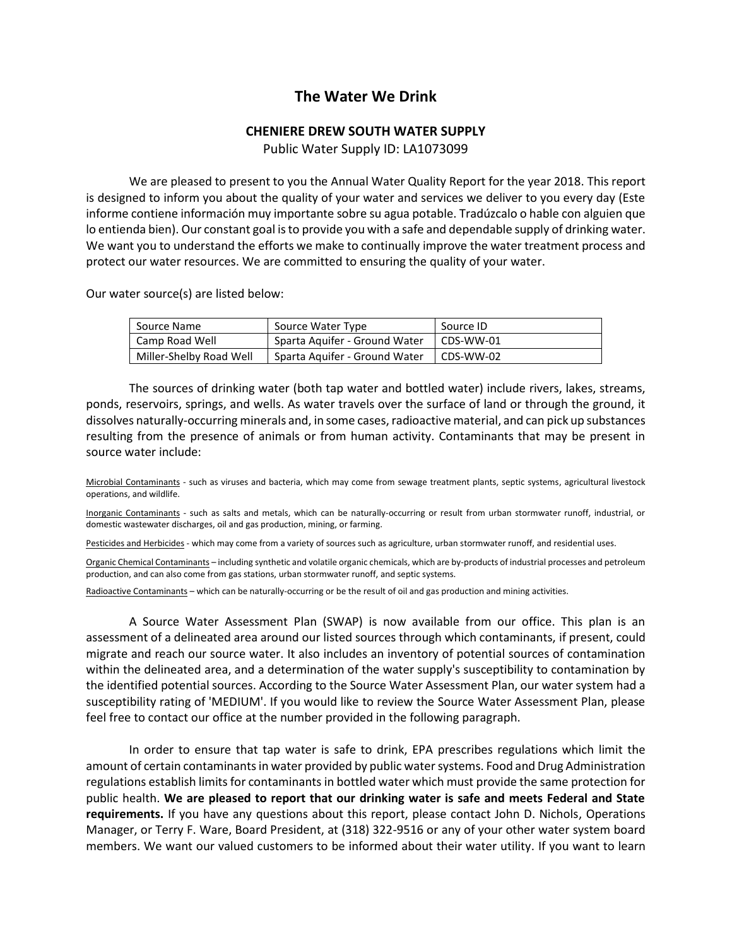## **The Water We Drink**

## **CHENIERE DREW SOUTH WATER SUPPLY**

Public Water Supply ID: LA1073099

We are pleased to present to you the Annual Water Quality Report for the year 2018. This report is designed to inform you about the quality of your water and services we deliver to you every day (Este informe contiene información muy importante sobre su agua potable. Tradúzcalo o hable con alguien que lo entienda bien). Our constant goal is to provide you with a safe and dependable supply of drinking water. We want you to understand the efforts we make to continually improve the water treatment process and protect our water resources. We are committed to ensuring the quality of your water.

Our water source(s) are listed below:

| Source Name             | Source Water Type             | Source ID |
|-------------------------|-------------------------------|-----------|
| Camp Road Well          | Sparta Aquifer - Ground Water | CDS-WW-01 |
| Miller-Shelby Road Well | Sparta Aguifer - Ground Water | CDS-WW-02 |

The sources of drinking water (both tap water and bottled water) include rivers, lakes, streams, ponds, reservoirs, springs, and wells. As water travels over the surface of land or through the ground, it dissolves naturally-occurring minerals and, in some cases, radioactive material, and can pick up substances resulting from the presence of animals or from human activity. Contaminants that may be present in source water include:

Microbial Contaminants - such as viruses and bacteria, which may come from sewage treatment plants, septic systems, agricultural livestock operations, and wildlife.

Inorganic Contaminants - such as salts and metals, which can be naturally-occurring or result from urban stormwater runoff, industrial, or domestic wastewater discharges, oil and gas production, mining, or farming.

Pesticides and Herbicides - which may come from a variety of sources such as agriculture, urban stormwater runoff, and residential uses.

Organic Chemical Contaminants – including synthetic and volatile organic chemicals, which are by-products of industrial processes and petroleum production, and can also come from gas stations, urban stormwater runoff, and septic systems.

Radioactive Contaminants – which can be naturally-occurring or be the result of oil and gas production and mining activities.

A Source Water Assessment Plan (SWAP) is now available from our office. This plan is an assessment of a delineated area around our listed sources through which contaminants, if present, could migrate and reach our source water. It also includes an inventory of potential sources of contamination within the delineated area, and a determination of the water supply's susceptibility to contamination by the identified potential sources. According to the Source Water Assessment Plan, our water system had a susceptibility rating of 'MEDIUM'. If you would like to review the Source Water Assessment Plan, please feel free to contact our office at the number provided in the following paragraph.

In order to ensure that tap water is safe to drink, EPA prescribes regulations which limit the amount of certain contaminants in water provided by public water systems. Food and Drug Administration regulations establish limits for contaminants in bottled water which must provide the same protection for public health. **We are pleased to report that our drinking water is safe and meets Federal and State requirements.** If you have any questions about this report, please contact John D. Nichols, Operations Manager, or Terry F. Ware, Board President, at (318) 322-9516 or any of your other water system board members. We want our valued customers to be informed about their water utility. If you want to learn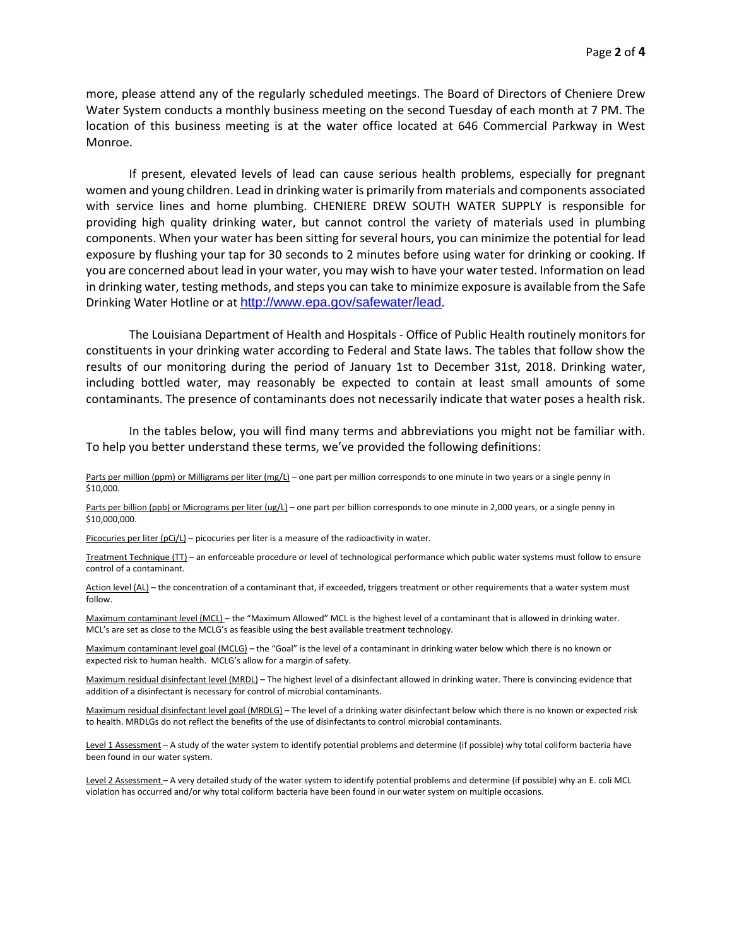more, please attend any of the regularly scheduled meetings. The Board of Directors of Cheniere Drew Water System conducts a monthly business meeting on the second Tuesday of each month at 7 PM. The location of this business meeting is at the water office located at 646 Commercial Parkway in West Monroe.

If present, elevated levels of lead can cause serious health problems, especially for pregnant women and young children. Lead in drinking water is primarily from materials and components associated with service lines and home plumbing. CHENIERE DREW SOUTH WATER SUPPLY is responsible for providing high quality drinking water, but cannot control the variety of materials used in plumbing components. When your water has been sitting for several hours, you can minimize the potential for lead exposure by flushing your tap for 30 seconds to 2 minutes before using water for drinking or cooking. If you are concerned about lead in your water, you may wish to have your water tested. Information on lead in drinking water, testing methods, and steps you can take to minimize exposure is available from the Safe Drinking Water Hotline or at <http://www.epa.gov/safewater/lead>.

The Louisiana Department of Health and Hospitals - Office of Public Health routinely monitors for constituents in your drinking water according to Federal and State laws. The tables that follow show the results of our monitoring during the period of January 1st to December 31st, 2018. Drinking water, including bottled water, may reasonably be expected to contain at least small amounts of some contaminants. The presence of contaminants does not necessarily indicate that water poses a health risk.

In the tables below, you will find many terms and abbreviations you might not be familiar with. To help you better understand these terms, we've provided the following definitions:

Parts per million (ppm) or Milligrams per liter (mg/L) – one part per million corresponds to one minute in two years or a single penny in \$10,000.

Parts per billion (ppb) or Micrograms per liter (ug/L) – one part per billion corresponds to one minute in 2,000 years, or a single penny in \$10,000,000.

Picocuries per liter (pCi/L) – picocuries per liter is a measure of the radioactivity in water.

Treatment Technique (TT) – an enforceable procedure or level of technological performance which public water systems must follow to ensure control of a contaminant.

Action level (AL) - the concentration of a contaminant that, if exceeded, triggers treatment or other requirements that a water system must follow.

Maximum contaminant level (MCL) – the "Maximum Allowed" MCL is the highest level of a contaminant that is allowed in drinking water. MCL's are set as close to the MCLG's as feasible using the best available treatment technology.

Maximum contaminant level goal (MCLG) – the "Goal" is the level of a contaminant in drinking water below which there is no known or expected risk to human health. MCLG's allow for a margin of safety.

Maximum residual disinfectant level (MRDL) – The highest level of a disinfectant allowed in drinking water. There is convincing evidence that addition of a disinfectant is necessary for control of microbial contaminants.

Maximum residual disinfectant level goal (MRDLG) – The level of a drinking water disinfectant below which there is no known or expected risk to health. MRDLGs do not reflect the benefits of the use of disinfectants to control microbial contaminants.

Level 1 Assessment - A study of the water system to identify potential problems and determine (if possible) why total coliform bacteria have been found in our water system.

Level 2 Assessment - A very detailed study of the water system to identify potential problems and determine (if possible) why an E. coli MCL violation has occurred and/or why total coliform bacteria have been found in our water system on multiple occasions.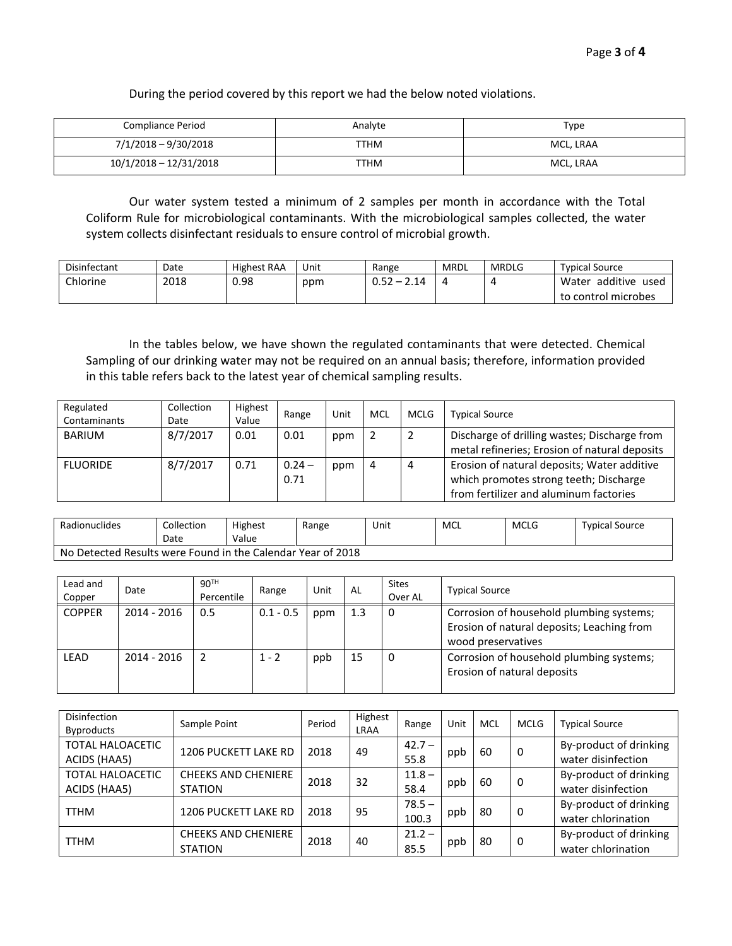During the period covered by this report we had the below noted violations.

| <b>Compliance Period</b> | Analyte | Type      |
|--------------------------|---------|-----------|
| 7/1/2018 - 9/30/2018     | ттнм    | MCL. LRAA |
| $10/1/2018 - 12/31/2018$ | ттнм    | MCL. LRAA |

Our water system tested a minimum of 2 samples per month in accordance with the Total Coliform Rule for microbiological contaminants. With the microbiological samples collected, the water system collects disinfectant residuals to ensure control of microbial growth.

| <b>Disinfectant</b> | Date | <b>Highest RAA</b> | Unit | Range                                                           | <b>MRDL</b> | <b>MRDLG</b> | <b>Typical Source</b>     |
|---------------------|------|--------------------|------|-----------------------------------------------------------------|-------------|--------------|---------------------------|
| Chlorine            | 2018 | 0.98               | ppm  | רים ה<br><u>າ 14</u><br>$\overline{\phantom{0}}$<br><b>U.SZ</b> |             |              | additive<br>Water<br>useo |
|                     |      |                    |      |                                                                 |             |              | to control microbes       |

In the tables below, we have shown the regulated contaminants that were detected. Chemical Sampling of our drinking water may not be required on an annual basis; therefore, information provided in this table refers back to the latest year of chemical sampling results.

| Regulated<br>Contaminants | Collection<br>Date | Highest<br>Value | Range            | Unit | MCL | <b>MCLG</b> | <b>Typical Source</b>                                                                                                           |
|---------------------------|--------------------|------------------|------------------|------|-----|-------------|---------------------------------------------------------------------------------------------------------------------------------|
| <b>BARIUM</b>             | 8/7/2017           | 0.01             | 0.01             | ppm  |     |             | Discharge of drilling wastes; Discharge from<br>metal refineries; Erosion of natural deposits                                   |
| <b>FLUORIDE</b>           | 8/7/2017           | 0.71             | $0.24 -$<br>0.71 | ppm  | 4   | 4           | Erosion of natural deposits; Water additive<br>which promotes strong teeth; Discharge<br>from fertilizer and aluminum factories |

| Radionuclides                                               | .collection<br>Date | <b>Highest</b><br>Value | Range | Unit | MCL | <b>MCLG</b> | <b>Typical Source</b> |  |  |
|-------------------------------------------------------------|---------------------|-------------------------|-------|------|-----|-------------|-----------------------|--|--|
| No Detected Results were Found in the Calendar Year of 2018 |                     |                         |       |      |     |             |                       |  |  |

| Lead and<br>Copper | Date          | 90 <sup>TH</sup><br>Percentile | Range       | Unit | AL  | <b>Sites</b><br>Over AL | <b>Typical Source</b>                                                                                        |
|--------------------|---------------|--------------------------------|-------------|------|-----|-------------------------|--------------------------------------------------------------------------------------------------------------|
| <b>COPPER</b>      | $2014 - 2016$ | 0.5                            | $0.1 - 0.5$ | ppm  | 1.3 | 0                       | Corrosion of household plumbing systems;<br>Erosion of natural deposits; Leaching from<br>wood preservatives |
| LEAD               | $2014 - 2016$ |                                | $1 - 2$     | ppb  | 15  | 0                       | Corrosion of household plumbing systems;<br>Erosion of natural deposits                                      |

| <b>Disinfection</b><br><b>Byproducts</b> | Sample Point                                 | Period | Highest<br>LRAA | Range             | Unit | MCL | <b>MCLG</b> | <b>Typical Source</b>                        |
|------------------------------------------|----------------------------------------------|--------|-----------------|-------------------|------|-----|-------------|----------------------------------------------|
| <b>TOTAL HALOACETIC</b><br>ACIDS (HAA5)  | <b>1206 PUCKETT LAKE RD</b>                  | 2018   | 49              | $42.7 -$<br>55.8  | ppb  | 60  | 0           | By-product of drinking<br>water disinfection |
| <b>TOTAL HALOACETIC</b><br>ACIDS (HAA5)  | <b>CHEEKS AND CHENIERE</b><br><b>STATION</b> | 2018   | 32              | $11.8 -$<br>58.4  | ppb  | 60  | 0           | By-product of drinking<br>water disinfection |
| <b>TTHM</b>                              | <b>1206 PUCKETT LAKE RD</b>                  | 2018   | 95              | $78.5 -$<br>100.3 | ppb  | 80  | 0           | By-product of drinking<br>water chlorination |
| <b>TTHM</b>                              | <b>CHEEKS AND CHENIERE</b><br><b>STATION</b> | 2018   | 40              | $21.2 -$<br>85.5  | ppb  | 80  | 0           | By-product of drinking<br>water chlorination |